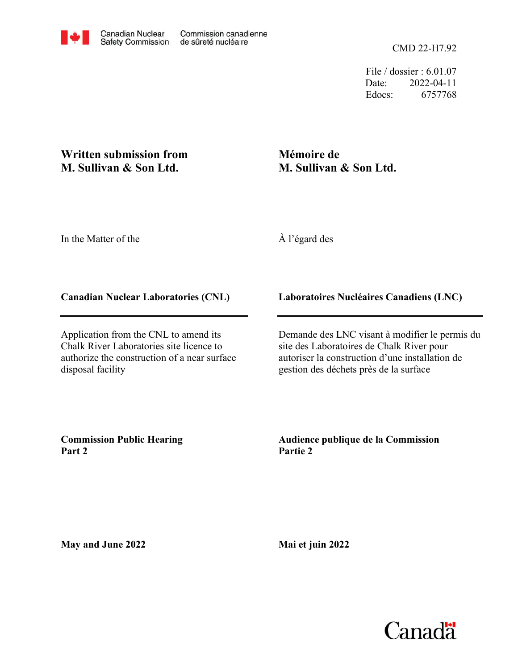CMD 22-H7.92

File / dossier : 6.01.07 Date: 2022-04-11 Edocs: 6757768

## **Written submission from M. Sullivan & Son Ltd.**

# **Mémoire de M. Sullivan & Son Ltd.**

In the Matter of the

À l'égard des

### **Canadian Nuclear Laboratories (CNL)**

Application from the CNL to amend its Chalk River Laboratories site licence to authorize the construction of a near surface disposal facility

### **Laboratoires Nucléaires Canadiens (LNC)**

Demande des LNC visant à modifier le permis du site des Laboratoires de Chalk River pour autoriser la construction d'une installation de gestion des déchets près de la surface

**Commission Public Hearing Part 2**

#### **Audience publique de la Commission Partie 2**

**May and June 2022**

**Mai et juin 2022**